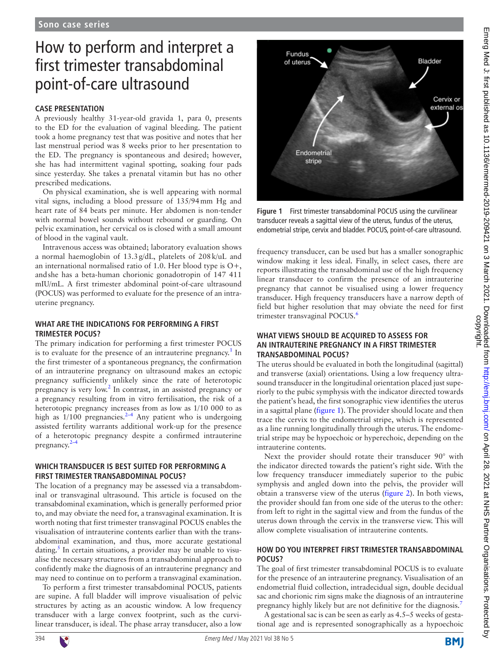# How to perform and interpret a first trimester transabdominal point-of-care ultrasound

## **CASE PRESENTATION**

A previously healthy 31-year-old gravida 1, para 0, presents to the ED for the evaluation of vaginal bleeding. The patient took a home pregnancy test that was positive and notes that her last menstrual period was 8 weeks prior to her presentation to the ED. The pregnancy is spontaneous and desired; however, she has had intermittent vaginal spotting, soaking four pads since yesterday. She takes a prenatal vitamin but has no other prescribed medications.

On physical examination, she is well appearing with normal vital signs, including a blood pressure of 135/94mm Hg and heart rate of 84 beats per minute. Her abdomen is non-tender with normal bowel sounds without rebound or guarding. On pelvic examination, her cervical os is closed with a small amount of blood in the vaginal vault.

Intravenous access was obtained; laboratory evaluation shows a normal haemoglobin of 13.3g/dL, platelets of 208k/uL and an international normalised ratio of 1.0. Her blood type is O+, andshe has a beta-human chorionic gonadotropin of 147 411 mIU/mL. A first trimester abdominal point-of-care ultrasound (POCUS) was performed to evaluate for the presence of an intrauterine pregnancy.

## **WHAT ARE THE INDICATIONS FOR PERFORMING A FIRST TRIMESTER POCUS?**

The primary indication for performing a first trimester POCUS is to evaluate for the presence of an intrauterine pregnancy.<sup>1</sup> In the first trimester of a spontaneous pregnancy, the confirmation of an intrauterine pregnancy on ultrasound makes an ectopic pregnancy sufficiently unlikely since the rate of heterotopic pregnancy is very low.<sup>[2](#page-2-1)</sup> In contrast, in an assisted pregnancy or a pregnancy resulting from in vitro fertilisation, the risk of a heterotopic pregnancy increases from as low as 1/10 000 to as high as  $1/100$  pregnancies.<sup>2-4</sup> Any patient who is undergoing assisted fertility warrants additional work-up for the presence of a heterotopic pregnancy despite a confirmed intrauterine pregnancy.<sup>2–4</sup>

#### **WHICH TRANSDUCER IS BEST SUITED FOR PERFORMING A FIRST TRIMESTER TRANSABDOMINAL POCUS?**

The location of a pregnancy may be assessed via a transabdominal or transvaginal ultrasound. This article is focused on the transabdominal examination, which is generally performed prior to, and may obviate the need for, a transvaginal examination. It is worth noting that first trimester transvaginal POCUS enables the visualisation of intrauterine contents earlier than with the transabdominal examination, and thus, more accurate gestational dating.<sup>[5](#page-2-2)</sup> In certain situations, a provider may be unable to visualise the necessary structures from a transabdominal approach to confidently make the diagnosis of an intrauterine pregnancy and may need to continue on to perform a transvaginal examination.

To perform a first trimester transabdominal POCUS, patients are supine. A full bladder will improve visualisation of pelvic structures by acting as an acoustic window. A low frequency transducer with a large convex footprint, such as the curvilinear transducer, is ideal. The phase array transducer, also a low



<span id="page-0-0"></span>**Figure 1** First trimester transabdominal POCUS using the curvilinear transducer reveals a sagittal view of the uterus, fundus of the uterus, endometrial stripe, cervix and bladder. POCUS, point-of-care ultrasound.

frequency transducer, can be used but has a smaller sonographic window making it less ideal. Finally, in select cases, there are reports illustrating the transabdominal use of the high frequency linear transducer to confirm the presence of an intrauterine pregnancy that cannot be visualised using a lower frequency transducer. High frequency transducers have a narrow depth of field but higher resolution that may obviate the need for first trimester transvaginal POCUS.<sup>[6](#page-2-3)</sup>

#### **WHAT VIEWS SHOULD BE ACQUIRED TO ASSESS FOR AN INTRAUTERINE PREGNANCY IN A FIRST TRIMESTER TRANSABDOMINAL POCUS?**

The uterus should be evaluated in both the longitudinal (sagittal) and transverse (axial) orientations. Using a low frequency ultrasound transducer in the longitudinal orientation placed just superiorly to the pubic symphysis with the indicator directed towards the patient's head, the first sonographic view identifies the uterus in a sagittal plane ([figure](#page-0-0) 1). The provider should locate and then trace the cervix to the endometrial stripe, which is represented as a line running longitudinally through the uterus. The endometrial stripe may be hypoechoic or hyperechoic, depending on the intrauterine contents.

Next the provider should rotate their transducer 90° with the indicator directed towards the patient's right side. With the low frequency transducer immediately superior to the pubic symphysis and angled down into the pelvis, the provider will obtain a transverse view of the uterus [\(figure](#page-1-0) 2). In both views, the provider should fan from one side of the uterus to the other: from left to right in the sagittal view and from the fundus of the uterus down through the cervix in the transverse view. This will allow complete visualisation of intrauterine contents.

## **HOW DO YOU INTERPRET FIRST TRIMESTER TRANSABDOMINAL POCUS?**

The goal of first trimester transabdominal POCUS is to evaluate for the presence of an intrauterine pregnancy. Visualisation of an endometrial fluid collection, intradecidual sign, double decidual sac and chorionic rim signs make the diagnosis of an intrauterine pregnancy highly likely but are not definitive for the diagnosis.<sup>[7](#page-2-4)</sup>

A gestational sac is can be seen as early as 4.5–5 weeks of gestational age and is represented sonographically as a hypoechoic

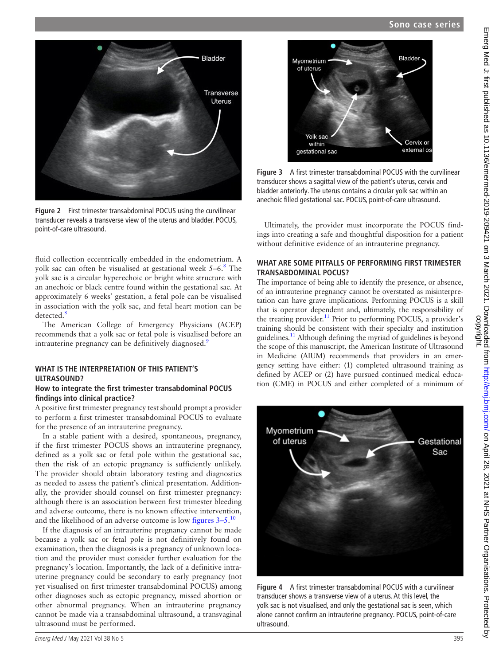

**Figure 2** First trimester transabdominal POCUS using the curvilinear transducer reveals a transverse view of the uterus and bladder. POCUS, point-of-care ultrasound.

<span id="page-1-0"></span>fluid collection eccentrically embedded in the endometrium. A yolk sac can often be visualised at gestational week 5–6.<sup>[8](#page-2-5)</sup> The yolk sac is a circular hyperechoic or bright white structure with an anechoic or black centre found within the gestational sac. At approximately 6 weeks' gestation, a fetal pole can be visualised in association with the yolk sac, and fetal heart motion can be detected.<sup>[8](#page-2-5)</sup>

The American College of Emergency Physicians (ACEP) recommends that a yolk sac or fetal pole is visualised before an intrauterine pregnancy can be definitively diagnosed.<sup>9</sup>

## **WHAT IS THE INTERPRETATION OF THIS PATIENT'S ULTRASOUND?**

#### **How to integrate the first trimester transabdominal POCUS findings into clinical practice?**

A positive first trimester pregnancy test should prompt a provider to perform a first trimester transabdominal POCUS to evaluate for the presence of an intrauterine pregnancy.

In a stable patient with a desired, spontaneous, pregnancy, if the first trimester POCUS shows an intrauterine pregnancy, defined as a yolk sac or fetal pole within the gestational sac, then the risk of an ectopic pregnancy is sufficiently unlikely. The provider should obtain laboratory testing and diagnostics as needed to assess the patient's clinical presentation. Additionally, the provider should counsel on first trimester pregnancy: although there is an association between first trimester bleeding and adverse outcome, there is no known effective intervention, and the likelihood of an adverse outcome is low [figures](#page-1-1)  $3-5$ .<sup>[10](#page-2-7)</sup>

If the diagnosis of an intrauterine pregnancy cannot be made because a yolk sac or fetal pole is not definitively found on examination, then the diagnosis is a pregnancy of unknown location and the provider must consider further evaluation for the pregnancy's location. Importantly, the lack of a definitive intrauterine pregnancy could be secondary to early pregnancy (not yet visualised on first trimester transabdominal POCUS) among other diagnoses such as ectopic pregnancy, missed abortion or other abnormal pregnancy. When an intrauterine pregnancy cannot be made via a transabdominal ultrasound, a transvaginal ultrasound must be performed.



**Figure 3** A first trimester transabdominal POCUS with the curvilinear transducer shows a sagittal view of the patient's uterus, cervix and bladder anteriorly. The uterus contains a circular yolk sac within an anechoic filled gestational sac. POCUS, point-of-care ultrasound.

<span id="page-1-1"></span>Ultimately, the provider must incorporate the POCUS findings into creating a safe and thoughtful disposition for a patient without definitive evidence of an intrauterine pregnancy.

#### **WHAT ARE SOME PITFALLS OF PERFORMING FIRST TRIMESTER TRANSABDOMINAL POCUS?**

The importance of being able to identify the presence, or absence, of an intrauterine pregnancy cannot be overstated as misinterpretation can have grave implications. Performing POCUS is a skill that is operator dependent and, ultimately, the responsibility of the treating provider.<sup>11</sup> Prior to performing POCUS, a provider's training should be consistent with their specialty and institution guidelines[.11](#page-2-8) Although defining the myriad of guidelines is beyond the scope of this manuscript, the American Institute of Ultrasound in Medicine (AIUM) recommends that providers in an emergency setting have either: (1) completed ultrasound training as defined by ACEP or (2) have pursued continued medical education (CME) in POCUS and either completed of a minimum of



**Figure 4** A first trimester transabdominal POCUS with a curvilinear transducer shows a transverse view of a uterus. At this level, the yolk sac is not visualised, and only the gestational sac is seen, which alone cannot confirm an intrauterine pregnancy. POCUS, point-of-care ultrasound.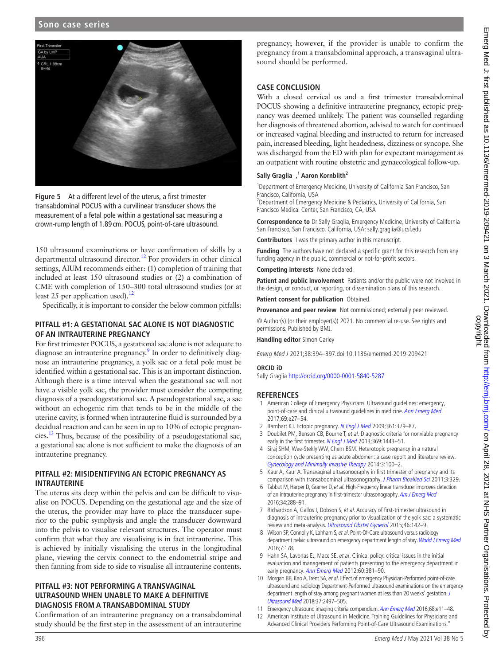## **Sono case series**



**Figure 5** At a different level of the uterus, a first trimester transabdominal POCUS with a curvilinear transducer shows the measurement of a fetal pole within a gestational sac measuring a crown-rump length of 1.89 cm. POCUS, point-of-care ultrasound.

150 ultrasound examinations or have confirmation of skills by a departmental ultrasound director.<sup>12</sup> For providers in other clinical settings, AIUM recommends either: (1) completion of training that included at least 150 ultrasound studies or (2) a combination of CME with completion of 150–300 total ultrasound studies (or at least 25 per application used).<sup>12</sup>

Specifically, it is important to consider the below common pitfalls:

## **PITFALL #1: A GESTATIONAL SAC ALONE IS NOT DIAGNOSTIC OF AN INTRAUTERINE PREGNANCY**

For first trimester POCUS, a gestational sac alone is not adequate to diagnose an intrauterine pregnancy.<sup>9</sup> In order to definitively diagnose an intrauterine pregnancy, a yolk sac or a fetal pole must be identified within a gestational sac. This is an important distinction. Although there is a time interval when the gestational sac will not have a visible yolk sac, the provider must consider the competing diagnosis of a pseudogestational sac. A pseudogestational sac, a sac without an echogenic rim that tends to be in the middle of the uterine cavity, is formed when intrauterine fluid is surrounded by a decidual reaction and can be seen in up to 10% of ectopic pregnancies. $^{13}$  $^{13}$  $^{13}$  Thus, because of the possibility of a pseudogestational sac, a gestational sac alone is not sufficient to make the diagnosis of an intrauterine pregnancy.

## **PITFALL #2: MISIDENTIFYING AN ECTOPIC PREGNANCY AS INTRAUTERINE**

The uterus sits deep within the pelvis and can be difficult to visualise on POCUS. Depending on the gestational age and the size of the uterus, the provider may have to place the transducer superior to the pubic symphysis and angle the transducer downward into the pelvis to visualise relevant structures. The operator must confirm that what they are visualising is in fact intrauterine. This is achieved by initially visualising the uterus in the longitudinal plane, viewing the cervix connect to the endometrial stripe and then fanning from side to side to visualise all intrauterine contents.

## **PITFALL #3: NOT PERFORMING A TRANSVAGINAL ULTRASOUND WHEN UNABLE TO MAKE A DEFINITIVE DIAGNOSIS FROM A TRANSABDOMINAL STUDY**

Confirmation of an intrauterine pregnancy on a transabdominal study should be the first step in the assessment of an intrauterine

pregnancy; however, if the provider is unable to confirm the pregnancy from a transabdominal approach, a transvaginal ultrasound should be performed.

## **CASE CONCLUSION**

With a closed cervical os and a first trimester transabdominal POCUS showing a definitive intrauterine pregnancy, ectopic pregnancy was deemed unlikely. The patient was counselled regarding her diagnosis of threatened abortion, advised to watch for continued or increased vaginal bleeding and instructed to return for increased pain, increased bleeding, light headedness, dizziness or syncope. She was discharged from the ED with plan for expectant management as an outpatient with routine obstetric and gynaecological follow-up.

#### **Sally Graglia ,1 Aaron Kornblith2**

<sup>1</sup>Department of Emergency Medicine, University of California San Francisco, San Francisco, California, USA

<sup>2</sup>Department of Emergency Medicine & Pediatrics, University of California, San Francisco Medical Center, San Francisco, CA, USA

**Correspondence to** Dr Sally Graglia, Emergency Medicine, University of California San Francisco, San Francisco, California, USA; sally.graglia@ucsf.edu

**Contributors** I was the primary author in this manuscript.

**Funding** The authors have not declared a specific grant for this research from any funding agency in the public, commercial or not-for-profit sectors.

**Competing interests** None declared.

**Patient and public involvement** Patients and/or the public were not involved in the design, or conduct, or reporting, or dissemination plans of this research.

**Patient consent for publication** Obtained.

**Provenance and peer review** Not commissioned; externally peer reviewed.

© Author(s) (or their employer(s)) 2021. No commercial re-use. See rights and permissions. Published by BMJ.

**Handling editor** Simon Carley

Emerg Med J 2021;38:394–397.doi:10.1136/emermed-2019-209421

#### **ORCID iD**

Sally Graglia <http://orcid.org/0000-0001-5840-5287>

#### **REFERENCES**

- <span id="page-2-0"></span>1 American College of Emergency Physicians. Ultrasound guidelines: emergency, point-of-care and clinical ultrasound guidelines in medicine. [Ann Emerg Med](http://dx.doi.org/10.1016/j.annemergmed.2016.08.457) 2017;69:e27–54.
- <span id="page-2-1"></span>2 Barnhart KT. Ectopic pregnancy. [N Engl J Med](http://dx.doi.org/10.1056/NEJMcp0810384) 2009;361:379-87.
- 3 Doubilet PM, Benson CB, Bourne T, et al. Diagnostic criteria for nonviable pregnancy early in the first trimester. [N Engl J Med](http://dx.doi.org/10.1056/NEJMra1302417) 2013;369:1443-51.
- 4 Siraj SHM, Wee-Stekly WW, Chern BSM. Heterotopic pregnancy in a natural conception cycle presenting as acute abdomen: a case report and literature review. [Gynecology and Minimally Invasive Therapy](http://dx.doi.org/10.1016/j.gmit.2014.02.005) 2014;3:100–2.
- <span id="page-2-2"></span>5 Kaur A, Kaur A. Transvaginal ultrasonography in first trimester of pregnancy and its comparison with transabdominal ultrasonography. [J Pharm Bioallied Sci](http://dx.doi.org/10.4103/0975-7406.84432) 2011;3:329.
- <span id="page-2-3"></span>6 Tabbut M, Harper D, Gramer D, et al. High-Frequency linear transducer improves detection of an intrauterine pregnancy in first-trimester ultrasonography. [Am J Emerg Med](http://dx.doi.org/10.1016/j.ajem.2015.11.001) 2016;34:288–91.
- <span id="page-2-4"></span>7 Richardson A, Gallos I, Dobson S, et al. Accuracy of first-trimester ultrasound in diagnosis of intrauterine pregnancy prior to visualization of the yolk sac: a systematic review and meta-analysis. [Ultrasound Obstet Gynecol](http://dx.doi.org/10.1002/uog.14725) 2015;46:142–9.
- <span id="page-2-5"></span>8 Wilson SP, Connolly K, Lahham S, et al. Point-Of-Care ultrasound versus radiology department pelvic ultrasound on emergency department length of stay. [World J Emerg Med](http://dx.doi.org/10.5847/wjem.j.1920-8642.2016.03.003) 2016;7:178.
- <span id="page-2-6"></span>9 Hahn SA, Lavonas EJ, Mace SE, et al. Clinical policy: critical issues in the initial evaluation and management of patients presenting to the emergency department in early pregnancy. [Ann Emerg Med](http://dx.doi.org/10.1016/j.annemergmed.2012.04.021) 2012;60:381-90.
- <span id="page-2-7"></span>10 Morgan BB, Kao A, Trent SA, et al. Effect of emergency Physician-Performed point-of-care ultrasound and radiology Department-Performed ultrasound examinations on the emergency department length of stay among pregnant women at less than 20 weeks' gestation. J [Ultrasound Med](http://dx.doi.org/10.1002/jum.14607) 2018;37:2497–505.
- <span id="page-2-8"></span>11 Emergency ultrasound imaging criteria compendium. [Ann Emerg Med](http://dx.doi.org/10.1016/j.annemergmed.2016.04.028) 2016;68:e11-48.
- <span id="page-2-9"></span>American Institute of Ultrasound in Medicine. Training Guidelines for Physicians and Advanced Clinical Providers Performing Point-of-Care Ultrasound Examinations."
- 396 Emerg Med J May 2021 Vol 38 No 5